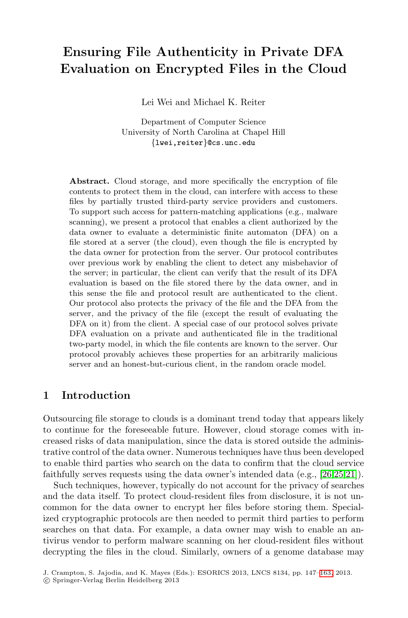# **Ensuring File Authenticity in Private DFA Evaluation on Encrypted Files in the Cloud**

Lei Wei and Michael K. Reiter

Department of Computer Science University of North Carolina at Chapel Hill {lwei,reiter}@cs.unc.edu

<span id="page-0-0"></span>**Abstract.** Cloud storage, and more specifically the encryption of file contents to protect them in the cloud, can interfere with access to these files by partially trusted third-party service providers and customers. To support such access for pattern-matching applications (e.g., malware scanning), we present a protocol that enables a client authorized by the data owner to evaluate a deterministic finite automaton (DFA) on a file stored at a server (the cloud), even though the file is encrypted by the data owner for protection from the server. Our protocol contributes over previous work by enabling the client to detect any misbehavior of the server; in particular, the client can verify that the result of its DFA evaluation is based on the file stored there by the data owner, and in this sense the file and protocol result are authenticated to the client. Our protocol also protects the privacy of the file and the DFA from the server, and the privacy of the file (except the result of evaluating the DFA on it) from the client. A special case of our protocol solves private DFA evaluation on a private and authenticated file in the traditional two-party model, in which the file contents are known to the server. Our protocol provably achieves these properties for an arbitrarily malicious server and an honest-but-curious client, in the random oracle model.

# **1 Introduction**

Outsourcing file storage to clouds is a dominant trend today that appears likely to continue for the foreseeable future. However, cloud storage comes with increased risks of data manipulation, since the data is stored outside the administrative control of the data owner. Numerous techniques have thus been developed to enable third parties who search on the data to confirm that the cloud service faithfully serves requests using the data owner's intended data (e.g., [26,25,21]).

Such techniques, however, typically do not acco[unt f](#page-16-0)or the privacy of searches and the data itself. To protect cloud-resident files from disclosure, it is not uncommon for the data owner to encrypt her files before storing them. Specialized cryptographic protocols are then needed to permit third parties to perform searches on that data. For example, a data owner may wish to enable an antivirus vendor to perform malware scanning on her cloud-resident files without decrypting the files in the cloud. Similarly, owners of a genome database may

J. Crampton, S. Jajodia, and K. Mayes (Eds.): ESORICS 2013, LNCS 8134, pp. 147–163, 2013.

<sup>-</sup>c Springer-Verlag Berlin Heidelberg 2013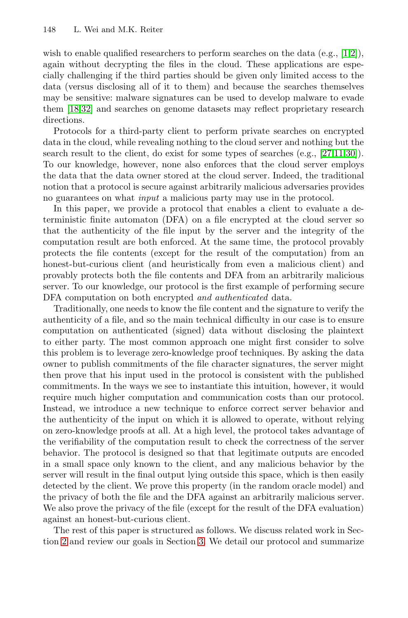wish to enable qualified researchers to perform searches on the data  $(e.g., [1,2])$ , again without decrypting the files in the cloud. [The](#page-15-0)[se](#page-15-1) [ap](#page-16-1)plications are especially challenging if the third parties should be given only limited access to the data (versus disclosing all of it to them) and because the searches themselves may be sensitive: malware signatures can be used to develop malware to evade them [18,32] and searches on genome datasets may reflect proprietary research directions.

Protocols for a third-party client to perform private searches on encrypted data in the cloud, while revealing nothing to the cloud server and nothing but the search result to the client, do exist for some types of searches (e.g., [27,11,30]). To our knowledge, however, none also enforces that the cloud server employs the data that the data owner stored at the cloud server. Indeed, the traditional notion that a protocol is secure against arbitrarily malicious adversaries provides no guarantees on what *input* a malicious party may use in the protocol.

In this paper, we provide a protocol that enables a client to evaluate a deterministic finite automaton (DFA) on a file encrypted at the cloud server so that the authenticity of the file input by the server and the integrity of the computation result are both enforced. At the same time, the protocol provably protects the file contents (except for the result of the computation) from an honest-but-curious client (and heuristically from even a malicious client) and provably protects both the file contents and DFA from an arbitrarily malicious server. To our knowledge, our protocol is the first example of performing secure DFA computation on both encrypted *and authenticated* data.

Traditionally, one needs to know the file content and the signature to verify the authenticity of a file, and so the main technical difficulty in our case is to ensure computation on authenticated (signed) data without disclosing the plaintext to either party. The most common approach one might first consider to solve this problem is to leverage zero-knowledge proof techniques. By asking the data owner to publish commitments of the file character signatures, the server might then prove that his input used in the protocol is consistent with the published commitments. In the ways we see to instantiate this intuition, however, it would require much higher computation and communication costs than our protocol. Instead, we introduce a new technique to enforce correct server behavior and the authenticity of the input on which it is allowed to operate, without relying on zero-knowledge proofs at all. At a high level, the protocol takes advantage of the verifiability of the computation result to check the correctness of the server behavior. The proto[co](#page-2-0)l is designed so that that legitimate outputs are encoded in a small space only known to the client, and any malicious behavior by the server will result in the final output lying outside this space, which is then easily detected by the client. We prove this property (in the random oracle model) and the privacy of both the file and the DFA against an arbitrarily malicious server. We also prove the privacy of the file (except for the result of the DFA evaluation) against an honest-but-curious client.

The rest of this paper is structured as follows. We discuss related work in Section 2 and review our goals in Section 3. We detail our protocol and summarize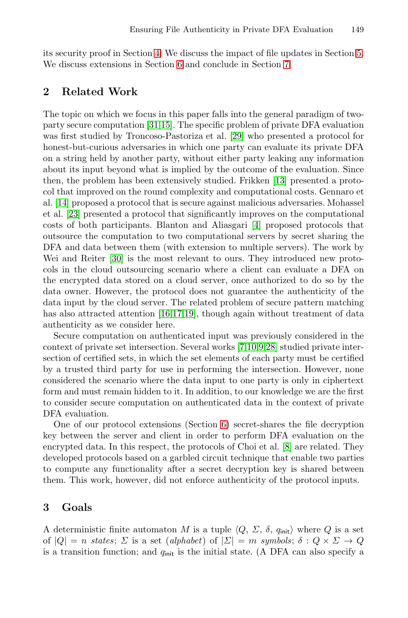its security proof in Section [4. W](#page-16-2)e discuss the impact of file updates in Section 5. We discuss extensions in Section 6 and conclude in Section 7.

# **2 Related Work**

The topic on which we focus in this paper falls into the general paradigm of twoparty secure computation [31,15]. The specific problem of private DFA evaluation was first studied by Troncoso-Pas[to](#page-14-0)riza et al. [29] who presented a protocol for honest-but-curious adversaries in which one party can evaluate its private DFA on a string held by another party, without either party leaking any information [ab](#page-16-1)out its input beyond what is implied by the outcome of the evaluation. Since then, the problem has been extensively studied. Frikken [13] presented a protocol that improved on the round complexity and computational costs. Gennaro et al. [14] proposed a protocol that is secure against malicious adversaries. Mohassel et al. [23] presented a protocol that significantly improves on the computational costs of b[oth](#page-15-2) [pa](#page-15-3)[rtic](#page-15-4)ipants. Blanton and Aliasgari [4] proposed protocols that outsource the computation to two computational servers by secret sharing the DFA and data between them (with extension to multiple servers). The work by Wei and Reiter [30] is the m[ost](#page-14-1) [re](#page-15-5)[le](#page-14-2)[van](#page-16-3)t to ours. They introduced new protocols in the cloud outsourcing scenario where a client can evaluate a DFA on the encrypted data stored on a cloud server, once authorized to do so by the data owner. However, the protocol does not guarantee the authenticity of the data input by the cloud server. The related problem of secure pattern matching has also attracted attention [16,17,19], though again without treatment of data authenticity as we consider here.

<span id="page-2-0"></span>Secure computation on [au](#page-13-0)thenticated input was previously considered in the context of private set intersection. Several works [7,10,9,28] studied private intersection of certified sets, in which the set el[em](#page-14-3)ents of each party must be certified by a trusted third party for use in performing the intersection. However, none considered the scenario where the data input to one party is only in ciphertext form and must remain hidden to it. In addition, to our knowledge we are the first to consider secure computation on authenticated data in the context of private DFA evaluation.

One of our protocol extensions (Section 6) secret-shares the file decryption key between the server and client in order to perform DFA evaluation on the encrypted data. In this respect, the protocols of Choi et al. [8] are related. They developed protocols based on a garbled circuit technique that enable two parties to compute any functionality after a secret decryption key is shared between them. This work, however, did not enforce authenticity of the protocol inputs.

# **3 Goals**

A deterministic finite automaton M is a tuple  $\langle Q, \Sigma, \delta, q_{\text{init}} \rangle$  where Q is a set<br>of  $|Q| = n$  states:  $\Sigma$  is a set (alphabet) of  $|\Sigma| = m$  symbols:  $\delta : Q \times \Sigma \to Q$ of  $|Q| = n$  *states*;  $\Sigma$  is a set *(alphabet)* of  $|\Sigma| = m$  *symbols*;  $\delta : Q \times \Sigma \rightarrow Q$ is a transition function; and  $q_{\text{init}}$  is the initial state. (A DFA can also specify a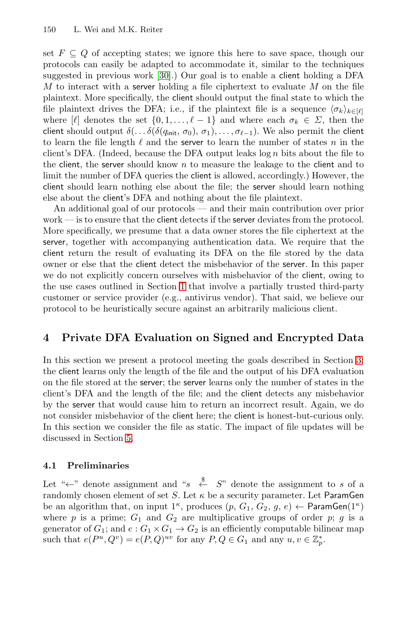set  $F \subseteq Q$  of accepting states; we ignore this here to save space, though our protocols can easily be adapted to accommodate it, similar to the techniques suggested in previous work [30].) Our goal is to enable a client holding a DFA M to interact with a server holding a file ciphertext to evaluate M on the file plaintext. More specifically, the client should output the final state to which the file plaintext drives the DFA; i.e., if the plaintext file is a sequence  $\langle \sigma_k \rangle_{k \in [\ell]}$ <br>where  $[\ell]$  denotes the set  $\{0, 1, \ldots, \ell-1\}$  and where each  $\sigma_k \in \Sigma$  then the where  $[\ell]$  denotes the set  $\{0, 1, \ldots, \ell-1\}$  and where each  $\sigma_k \in \Sigma$ , then the client should output  $\delta(\ldots \delta(\delta(q_{\text{init}}, \sigma_0), \sigma_1), \ldots, \sigma_{\ell-1})$ . We also permit the client to learn the file length  $\ell$  and the **server** to learn the number of states *n* in the to learn the file length  $\ell$  and the server to learn the number of states n in the client's DFA. (Indeed, because the DFA output leaks  $\log n$  bits about the file to the client, the server should know  $n$  to measure the leakage to the client and to limit the number of DFA queries the client is allowed, accordingly.) However, the client should learn nothing else about the file; the server should learn nothing else about the [clie](#page-0-0)nt's DFA and nothing about the file plaintext.

An additional goal of our protocols — and their main contribution over prior work — is to ensure that the client detects if the server deviates from the protocol. More specifically, we presume that a data owner stores the file ciphertext at the server, together with accompanying authentication data. We require that the client return the result of evaluating its DFA on the file stored by the data owner or else that the client detect the misbehavior of the server. In this paper we do not explicitly concern ourselves with misbehavior of [th](#page-2-0)e client, owing to the use cases outlined in Section 1 that involve a partially trusted third-party customer or service provider (e.g., antivirus vendor). That said, we believe our protocol to be heuristically secure against an arbitrarily malicious client.

## **4 Private DFA Evaluation on Signed and Encrypted Data**

In [th](#page-12-0)is section we present a protocol meeting the goals described in Section 3: the client learns only the length of the file and the output of his DFA evaluation on the file stored at the server; the server learns only the number of states in the client's DFA and the length of the file; and the client detects any misbehavior by the server that would cause him to return an incorrect result. Again, we do not consider misbehavior of the client here; the client is honest-but-curious only. In this section we consider the file as static. The impact of file updates will be discussed in Section 5.

### **4.1 Preliminaries**

Let " $\leftarrow$ " denote assignment and "s  $\stackrel{\$}{\leftarrow} S$ " denote the assignment to s of a<br>randomly chosen element of set S. Let  $\kappa$  be a security parameter. Let ParamGen randomly chosen element of set S. Let  $\kappa$  be a security parameter. Let ParamGen be an algorithm that, on input  $1^{\kappa}$ , produces  $(p, G_1, G_2, g, e) \leftarrow \text{ParamGen}(1^{\kappa})$ where p is a prime;  $G_1$  and  $G_2$  are multiplicative groups of order p; q is a generator of  $G_1$ ; and  $e: G_1 \times G_1 \rightarrow G_2$  is an efficiently computable bilinear map<br>such that  $e(P^u, Q^v) = e(P, Q)^{uv}$  for any  $P, Q \in G_2$  and any  $u, v \in \mathbb{Z}^*$ such that  $e(P^u, Q^v) = e(P, Q)^{uv}$  for any  $P, Q \in G_1$  and any  $u, v \in \mathbb{Z}_p^*$ .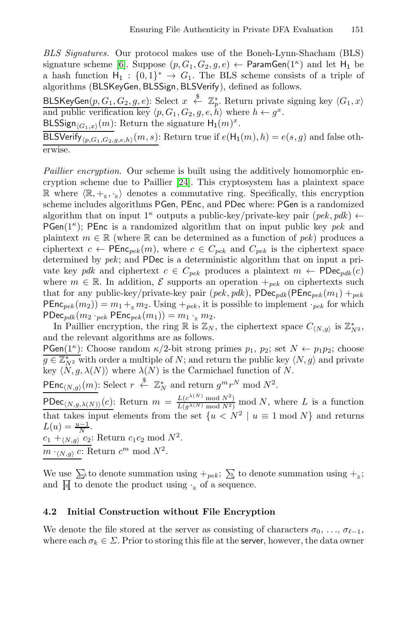*BLS Signatures.* Our protocol makes use of the Boneh-Lynn-Shacham (BLS) signature scheme [6]. Suppose  $(p, G_1, G_2, g, e) \leftarrow$  ParamGen $(1^{\kappa})$  and let H<sub>1</sub> be a hash function  $H_1 : \{0,1\}^* \to G_1$ . The BLS scheme consists of a triple of a scheme scheme of a triple of a triple of a scheme of  $R_1$  SkeyGen RISSign RISVerify) defined as follows algorithms (BL[SKe](#page-15-6)yGen, BLSSign, BLSVerify), defined as follows.

BLSKeyGen $(p, G_1, G_2, g, e)$ : Select  $x \stackrel{\$}{\leftarrow} \mathbb{Z}_p^*$ . Return private signing key  $\langle G_1, x \rangle$ <br>and public verification key  $\langle p, G_1, G_2, g, e, h \rangle$  where  $h \leftarrow g^x$ .<br>BLSSign<sub>ton and</sub> (m): Beturn the signature  $H_2(m)^x$ 

BLSSign<sub> $(G_1,x)(m)$ </sub>: Return the signature  $H_1(m)^x$ .

BLSVerify<sub>(p,G<sub>1</sub>,G<sub>2</sub>,g,e,h)</sub>(m,s): Return true if  $e(H_1(m), h) = e(s, g)$  and false otherwise.

*Paillier encryption.* Our scheme is built using the additively homomorphic encryption scheme due to Paillier [24]. This cryptosystem has a plaintext space  $\mathbb{R}$  where  $\langle \mathbb{R}, +_{\mathbb{R}}, \cdot_{\mathbb{R}} \rangle$  denotes a commutative ring. Specifically, this encryption scheme includes algorithms **PGen PEnc**, and **PDec** where: **PGen** is a randomized scheme includes algorithms PGen, PEnc, and PDec where: PGen is a randomized algorithm that on input  $1^{\kappa}$  outputs a public-key/private-key pair  $(\text{pek}, \text{pdk}) \leftarrow$ PGen( $1^{\kappa}$ ); PEnc is a randomized algorithm that on input public key *pek* and plaintext  $m \in \mathbb{R}$  (where  $\mathbb R$  can be determined as a function of *pek*) produces a ciphertext  $c \leftarrow \text{PEnc}_{\text{pek}}(m)$ , where  $c \in C_{\text{pek}}$  and  $C_{\text{pek}}$  is the ciphertext space determined by *pek*; and PDec is a deterministic algorithm that on input a private key *pdk* and ciphertext  $c \in C_{pek}$  produces a plaintext  $m \leftarrow \text{PDec}_{pdk}(c)$ where  $m \in \mathbb{R}$ . In addition,  $\mathcal{E}$  supports an operation  $+_{\text{pek}}$  on ciphertexts such that for any public-key/private-key pair  $(\text{pek}, \text{pdk})$ ,  $\text{PDec}_{\text{pdk}}(\text{PEnc}_{\text{pek}}(m_1) +_{\text{pek}})$  $\text{PERC}_{pek}(m_2)) = m_1 +_{\mathbb{R}} m_2$ . Using  $+_{pek}$ , it is possible to implement  $\cdot_{pek}$  for which  $PDec_{pdk}(m_2 \cdot_{pek} PEnc_{pek}(m_1)) = m_1 \cdot_{R} m_2.$ 

In Paillier encryption, the ring  $\mathbb{R}$  is  $\mathbb{Z}_N$ , the ciphertext space  $C_{\langle N,g \rangle}$  is  $\mathbb{Z}_{N^2}^*$ , d the relevant algorithms are as follows and the relevant algorithms are as follows.

**PGen**(1<sup> $\kappa$ </sup>): Choose random  $\kappa/2$ -bit strong primes  $p_1, p_2$ ; set  $N \leftarrow p_1p_2$ ; choose  $g \in \mathbb{Z}_{N^2}^*$  with order a multiple of N; and return the public key  $\langle N, g \rangle$  and private<br>key  $\langle N, g \rangle$  and  $\langle N \rangle$  where  $\lambda(N)$  is the Carmichael function of N key  $\langle N, g, \lambda(N) \rangle$  where  $\lambda(N)$  is the Carmichael function of N.

**PEnc**<sub>(N,g)</sub>(m): Select  $r \stackrel{\$}{\leftarrow} \mathbb{Z}_N^*$  and return  $g^m r^N \mod N^2$ .

 $\text{PDec}_{\langle N,g,\lambda(N)\rangle}(c)$ : Return  $m = \frac{L(c^{\lambda(N)} \mod N^2)}{L(g^{\lambda(N)} \mod N^2)} \mod N$ , where L is a function that takes input elements from the set  $\{u \leq N^2 \mid u \equiv 1 \mod N\}$  and returns  $L(u) = \frac{u-1}{L(u)}$  $L(u) = \frac{u-1}{N}.$ <br> $C_1 + (N + C_2)$ 

 $\frac{c_1 + (N,g)}{c_2}$ : Return  $c_1c_2$  mod  $N^2$ .

 $m \cdot_{\langle N,g \rangle} c$ : Return  $c^m$  mod  $N^2$ .

We use  $\sum_{k}$  to denote summation using  $+_{pek}$ ;  $\sum_{k}$  to denote summation using  $+_{\mathbb{R}}$ ; and  $\mathbb{R}$  to denote the product using  $\cdot_{\mathbb{R}}$  of a sequence.

# **4.2 Initial Construction without File Encryption**

We denote the file stored at the server as consisting of characters  $\sigma_0, \ldots, \sigma_{\ell-1}$ ,<br>where each  $\sigma_i \in \Sigma$  Prior to storing this file at the server, however, the data owner where each  $\sigma_k \in \Sigma$ . Prior to storing this file at the server, however, the data owner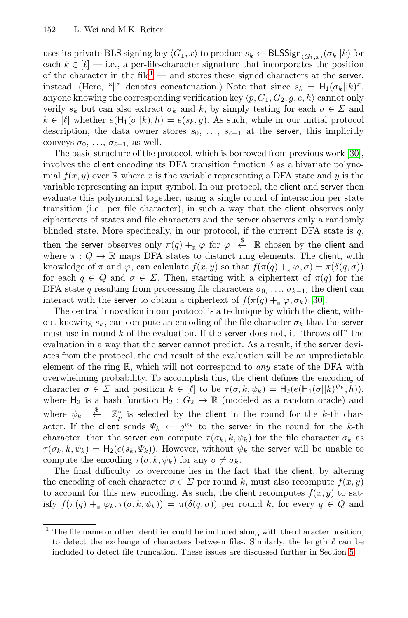uses its private BLS signing key  $\langle G_1, x \rangle$  to produce  $s_k \leftarrow \text{BLSSign}_{\langle G_1, x \rangle}(\sigma_k || k)$  for each  $k \in [\ell]$  — i.e., a per-file-character signature that inc[orp](#page-16-1)orates the position of the character in the file<sup>1</sup> — and stores these signed characters at the server, instead. (Here, "||" denotes concatenation.) Note that since  $s_k = H_1(\sigma_k || k)^x$ , anyone knowing the corresponding verification key  $\langle p, G_1, G_2, g, e, h \rangle$  cannot only<br>verify  $\varepsilon$ , but can also extract  $\sigma_1$  and  $k$ , by simply testing for each  $\sigma \in \Sigma$  and verify  $s_k$  but can also extract  $\sigma_k$  and k, by simply testing for each  $\sigma \in \Sigma$  and  $k \in [\ell]$  whether  $e(H_1(\sigma||k), h) = e(s_k, g)$ . As such, while in our initial protocol description, the data owner stores  $s_0, \ldots, s_{\ell-1}$  at the server, this implicitly conveys  $\sigma_0$   $\sigma_{\ell-1}$  as well conveys  $\sigma_0, \ldots, \sigma_{\ell-1}$ , as well.<br>The basic structure of the n

The basic structure of the protocol, which is borrowed from previous work [30], involves the client encoding its DFA transition function  $\delta$  as a bivariate polynomial  $f(x, y)$  over R where x is the variable representing a DFA state and y is the variable representing an input symbol. In our protocol, the client and server then evaluate this polynomial together, using a single round of interaction per state transition (i.e., per file character), in such a w[ay t](#page-16-1)hat the client observes only ciphertexts of states and file characters and the server observes only a randomly blinded state. More specifically, in our protocol, if the current DFA state is  $q$ , blinded state. More specifically, in our protocol, if the current DFA state is q, then the server observes only  $\pi(q) + R \varphi$  for  $\varphi \stackrel{\text{g}}{\leftarrow} R$  chosen by the client and where  $\pi: Q \to \mathbb{R}$  maps DEA states to distinct ring elements. The client with where  $\pi: Q \to \mathbb{R}$  maps DFA states to distinct ring elements. The client, with knowledge of  $\pi$  and  $\varphi$ , can calculate  $f(x, y)$  so that  $f(\pi(q) + \varphi, \sigma) = \pi(\delta(q, \sigma))$ for each  $q \in Q$  and  $\sigma \in \Sigma$ . Then, starting with a ciphertext of  $\pi(q)$  for the DFA state q resulting from processing file characters  $\sigma_0$ , ...,  $\sigma_{k-1}$ , the client can interact with the server to obtain a ciphertext of  $f(\pi(q) + R \varphi, \sigma_k)$  [30].

The central innovation in our protocol is a technique by which the client, without knowing  $s_k$ , can compute an encoding of the file character  $\sigma_k$  that the server must use in round  $k$  of the evaluation. If the server does not, it "throws off" the evaluation in a way that the server cannot predict. As a result, if the server deviates from the protocol, the end result of the evaluation will be an unpredictable element of the ring R, which will not correspond to *any* state of the DFA with overwhelming probability. To accomplish this, the client defines the encoding of character  $\sigma \in \Sigma$  and position  $k \in [\ell]$  to be  $\tau(\sigma, k, \psi_k) = H_2(e(H_1(\sigma||k)^{\psi_k}, h)),$ where  $H_2$  is a hash function  $H_2 : G_2 \to \mathbb{R}$  (modeled as a random oracle) and where  $\psi_k \overset{\$}{\leftarrow} \mathbb{Z}_p^*$  is selected by the client in the round for the k-th char-<br>pater. If the client conde  $W_{k-1}$   $e^{\psi_k}$  to the concer in the round for the k-th acter. If the client sends  $\Psi_k \leftarrow g^{\psi_k}$  to the server in the round for the k-th character, then the server can compute  $\tau(\sigma_k, k, \psi_k)$  for the file character  $\sigma_k$  as  $\tau(\sigma_k, k, \psi_k) = H_2(e(s_k, \Psi_k))$ . However, without  $\psi_k$  the server will be unable to compute the encoding  $\tau(\sigma, k, \psi_k)$  for any  $\sigma \neq \sigma_k$ .

The final difficulty to overcome lies in the fact that [th](#page-12-0)e client, by altering the encoding of each character  $\sigma \in \Sigma$  per round k, must also recompute  $f(x, y)$ to account for this new encoding. As such, the client recomputes  $f(x, y)$  to satisfy  $f(\pi(q) +_{\mathbb{R}} \varphi_k, \tau(\sigma, k, \psi_k)) = \pi(\delta(q, \sigma))$  per round k, for every  $q \in Q$  and

 $1$  The file name or other identifier could be included along with the character position, to detect the exchange of characters between files. Similarly, the length  $\ell$  can be included to detect file truncation. These issues are discussed further in Section 5 included to detect file truncation. These issues are discussed further in Section 5.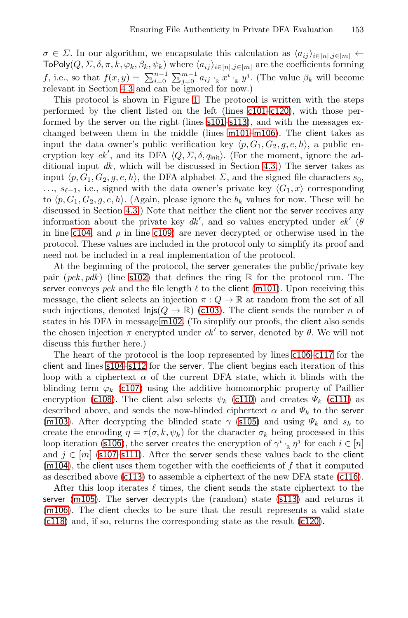$\sigma \in \Sigma$ . In our algorithm, [we](#page-7-4) [enc](#page-7-4)[apsula](#page-7-5)te this calculation as  $\langle a_{ij} \rangle_{i \in [n], j \in [m]} \leftarrow$ <br>ToPoly(O,  $\Sigma$ ,  $\delta \pi$ ,  $k$ ,  $\langle a_i, a_j \rangle$ ), where  $\langle a_i, a_j \rangle_{i \in [n]}$  are the coefficients forming  $\text{ToPoly}(Q, \Sigma, \delta, \pi, k, \varphi_k, \beta_k, \psi_k)$  where  $\langle a_{ij} \rangle_{i \in [n], j \in [m]}$  are the coefficients forming f, i.e., so that  $f(x, y) = \sum_{k=0}^{n-1} \sum_{j=0}^{m-1} a_{ij} \cdot_R x^i \cdot_R y^j$  $f(x, y) = \sum_{k=0}^{n-1} \sum_{j=0}^{m-1} a_{ij} \cdot_R x^i \cdot_R y^j$  $f(x, y) = \sum_{k=0}^{n-1} \sum_{j=0}^{m-1} a_{ij} \cdot_R x^i \cdot_R y^j$ . (The value  $\beta_k$  will become relevant in Section 4.3 and can be imported for now.) relevant in Section 4.3 and can be ignored for now.)

This protocol is shown in Figure 1. The protocol is written with the steps performed by the client listed on the left (lines c101–c120), with those perfo[rme](#page-8-0)d by the server on the right (lines s101–s113), and with the messages exchanged between them in the middle (lines m101–m106). The client takes as input th[e data](#page-7-6) owner's public verification key  $\langle p, G_1, G_2, g, e, h \rangle$ , a public en-<br>cryption key  $e^{h'}$  and its DFA (O,  $\Sigma$   $\delta$ ,  $g$ , ). (For the moment ignore the adcryption key *ek'*, and its DFA  $\langle Q, \Sigma, \delta, q_{\text{init}} \rangle$ . (For the moment, ignore the ad-<br>ditional input *dk*, which will be discussed in Section 4.3.) The sense takes as ditional input *dk*, which will be discussed in Section 4.3.) The server takes as input  $\langle p, G_1, G_2, g, e, h \rangle$ , the DFA alphabet  $\Sigma$ , and the signed file characters  $s_0$ , ...,  $s_{\ell-1}$ , i.e., signed with the data owner's private key  $\langle G_1, x \rangle$  corresponding to  $\langle G_1, G_2, G_2, e_1 \rangle$ . (Again plases ignore the by values for now These will be to  $\langle p, G_1, G_2, g, e, h \rangle$ . (Again, plea[se igno](#page-7-4)re the  $b_k$  values for now. These will be discussed in Section 4.3.) Note that paither the client part has sense receives any discussed in Section 4.3.) Note that neither the **client** nor the **server** receives any information about t[he pri](#page-7-8)vate key  $dk'$ , and so values encrypted under  $ek'$  ( $\theta$ ) in line  $\epsilon$ 104 and  $\theta$  in line  $\epsilon$ 109) are never decrypted or otherwise used in the in line c104[, and](#page-7-9)  $\rho$  in line c109) are never decrypted or otherwise used in the protocol. These values are included in the protocol only to simplify its proof and need not be included in a real implementation of the protocol.

At the beginning of the protocol, the ser[ver](#page-7-10) ge[nerat](#page-7-11)es the public/private key [pa](#page-7-12)i[r \(](#page-7-13)*pek*, *pdk*) (line s102) that defines the ring  $\mathbb R$  for the protocol run. The server conveys *pek* and the file length  $\ell$  to the client (m101). Upon receiving this [messag](#page-7-14)e, the client selects an injection  $\pi: Q \to \mathbb{R}$  at random from the set of all such injections, denoted  $\textsf{Injs}(Q \to \mathbb{R})$  (c103). The cli[ent](#page-7-16) sends the number n of states in his DFA in message m102. (To simplify our proofs, the client also sends the chosen injection  $\pi$  encrypt[ed un](#page-7-17)der  $ek'$  to server, denoted by  $\theta$ . We will not discuss this further here.)

The heart of the protocol is the loop represented by lines c106–c117 for the [c](#page-7-18)[lient](#page-7-19) and lines s104–s112 for the server. The client begins each iteration of this loop with a ciphertext  $\alpha$  of the current DFA state, which it blinds with the bl[indin](#page-7-20)g term  $\varphi_k$  (c107) using the additive homomor[phic p](#page-7-21)roperty of Paillier encryption (c108). The client also selects  $\psi_k$  (c110) and creates  $\Psi_k$  (c111) as described above, and sends the now-bli[nded](#page-7-3) ciphertext  $\alpha$  and  $\Psi_k$  to the server (m103). After decrypting the blinded state  $\gamma$  (s105) and using  $\Psi_k$  and  $s_k$  to create the encoding  $\eta = \tau(\sigma, k, \psi_k)$  for the ch[aract](#page-7-1)er  $\sigma_k$  being processed in this loop iteration (s106), the server creates the encryption of  $\gamma^i \cdot_R \eta^j$  for each  $i \in [n]$ and  $j \in [m]$  (s107–s111). After the server sends these values back to the client  $(m104)$ , the client uses them together with the coefficients of  $f$  that it computed as described above (c113) to assemble a ciphertext of the new DFA state (c116).

After this loop iterates  $\ell$  times, the client sends the state ciphertext to the server (m105). The server decrypts the (random) state (s113) and returns it (m106). The client checks to be sure that the result represents a valid state (c118) and, if so, returns the corresponding state as the result (c120).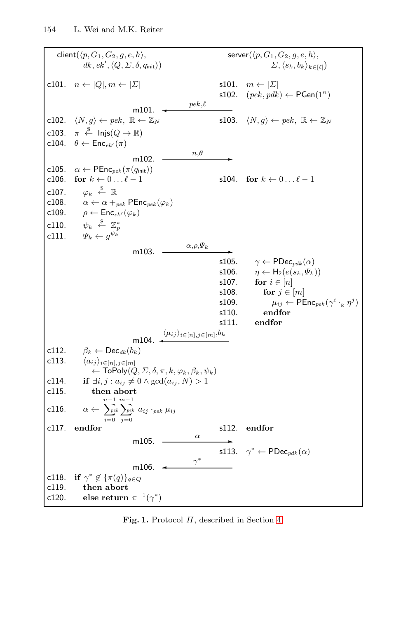<span id="page-7-29"></span><span id="page-7-28"></span><span id="page-7-26"></span><span id="page-7-25"></span><span id="page-7-24"></span><span id="page-7-23"></span><span id="page-7-21"></span><span id="page-7-20"></span><span id="page-7-19"></span><span id="page-7-18"></span><span id="page-7-17"></span><span id="page-7-16"></span><span id="page-7-15"></span><span id="page-7-14"></span><span id="page-7-12"></span><span id="page-7-11"></span><span id="page-7-10"></span><span id="page-7-9"></span><span id="page-7-8"></span><span id="page-7-7"></span><span id="page-7-6"></span><span id="page-7-4"></span><span id="page-7-2"></span><span id="page-7-0"></span> $\text{client}(\langle p, G_1, G_2, g, e, h \rangle,$  server( $\langle$ <br>details  $\langle \rho, G_1, G_2, g, e, h \rangle$ server $(\langle p, G_1, G_2, g, e, h \rangle,$  $dk, ek', \langle Q, \Sigma, \delta, q_{\text{init}} \rangle)$   $\Sigma, \langle$  $\langle s_k, b_k \rangle_{k \in [\ell]}$ c101.  $n \leftarrow |Q|, m \leftarrow |\Sigma|$  s101.  $m \leftarrow |\Sigma|$ s102.  $(\text{pek}, \text{pdk}) \leftarrow \text{PGen}(1^{\kappa})$ m101. ✛ *pek*, $pek, \ell$ c102.  $\langle N, g \rangle \leftarrow pek, \mathbb{R} \leftarrow \mathbb{Z}_N$  s103.  $\langle$ s103.  $\langle N, q \rangle \leftarrow pek, \mathbb{R} \leftarrow \mathbb{Z}_N$ c103.  $\pi \stackrel{\$}{\leftarrow}$  lnjs $(Q \rightarrow \mathbb{R})$ c104.  $\theta \leftarrow \mathsf{Enc}_{ek'}(\pi)$ m102.  $\frac{n,\theta}{n}$ c105.  $\alpha \leftarrow \textsf{PEnc}_{\textit{pek}}(\pi(q_{\textsf{init}}))$ c106. **for**  $k \leftarrow 0 \dots \ell - 1$  $\ell - 1$  s104. **for**  $k \leftarrow 0 ... \ell - 1$  $c107.$ <br> $c108.$ \$ ← R c108.  $\alpha \leftarrow \alpha +_{pek} \text{PEnc}_{pek}(\varphi_k)$ <br>c109.  $\rho \leftarrow \text{Enc}_{ek'}(\varphi_k)$ c109.  $\rho \leftarrow \text{Enc}_{ek'}(\varphi_k)$  $c110.$ <br> $c111.$  $\stackrel{\$}{\leftarrow} \mathbb{Z}_p^*$  $\Psi_k \leftarrow g^{\psi_k}$ m103.  $\frac{\alpha, \rho, \Psi_k}{\sim}$  s105. s105.  $\gamma \leftarrow \text{PDec}_{pdk}(\alpha)$ <br>s106.  $\eta \leftarrow H_2(e(s_k, \Psi_k))$ s106.  $\eta \leftarrow H_2(e(s_k, \Psi_k))$ <br>s107. **for**  $i \in [n]$ s107. **for**  $i \in [n]$ <br>s108. **for**  $j \in$ s108. **for**  $j \in [m]$ <br>s109.  $\mu_{ij} \leftarrow \text{PE}$ s109.  $\mu_{ij} \leftarrow \text{PEnc}_{\text{pek}}(\gamma^i \cdot_R \eta^j)$ <br>s110. **endfor** s110. **endfor** s111. **endfor**  $m104.$  $\langle \mu_{ij} \rangle_{i \in [n], j \in [m]}, b_k$ c112.  $\beta_k \leftarrow \text{Dec}_{dk}(b_k)$ c113.  $\langle a_{ij} \rangle_{i \in [n], j \in [m]}$  $\leftarrow$  ToPoly $(Q, \Sigma, \delta, \pi, k, \varphi_k, \beta_k, \psi_k)$ c114. **if**  $\exists i, j : a_{ij} \neq 0 \land \gcd(a_{ij}, N) > 1$ <br>c115. **then abort** then abort c116.  $\alpha \leftarrow \sum_{i=0}^{n-k}$  $n-1$   $m-1$  $i=0$  $\sum_{pek}$  $\sum_{j=0}^{pek} a_{ij} \cdot_{pek} \mu_{ij}$ c117. **endfor** s112. **endfor**  $m105.$ s113.  $\gamma^* \leftarrow \text{PDec}_{\text{pdk}}(\alpha)$ m106.  $\leftarrow$  <sup>γ\*</sup>  $\overline{a}$ c118. **if**  $\gamma^* \notin {\pi(q)}_{q \in Q}$ <br>c119. **then abort** c119. **then abort** else return  $\pi^{-1}(\gamma^*)$ 

<span id="page-7-27"></span><span id="page-7-22"></span><span id="page-7-13"></span><span id="page-7-5"></span><span id="page-7-3"></span><span id="page-7-1"></span>**Fig. 1.** Protocol Π, described in Section 4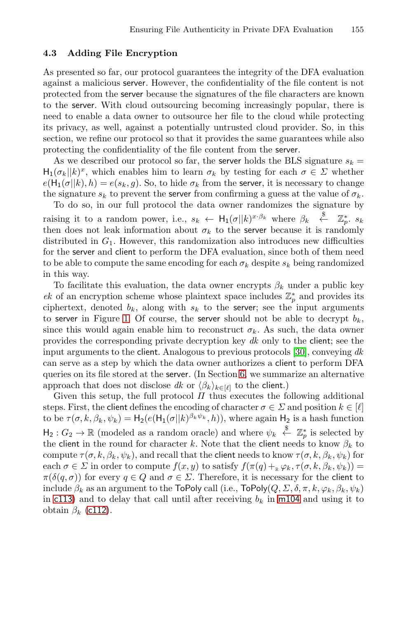### <span id="page-8-0"></span>**4.3 Adding File Encryption**

As presented so far, our protocol guarantees the integrity of the DFA evaluation against a malicious server. However, the confidentiality of the file content is not protected from the server because the signatures of the file characters are known to the server. With cloud outsourcing becoming increasingly popular, there is need to enable a data owner to outsource her file to the cloud while protecting its privacy, as well, against a potentially untrusted cloud provider. So, in this section, we refine our protocol so that it provides the same guarantees while also protecting the confidentiality of the file content from the server.

As we described our protocol so far, the server holds the BLS signature  $s_k =$  $H_1(\sigma_k||k)^x$ , which enables him to learn  $\sigma_k$  by testing for each  $\sigma \in \Sigma$  whether  $e(H_1(\sigma||k), h) = e(s_k, g)$ . So, to hide  $\sigma_k$  from the server, it is necessary to change the signature  $s_k$  to prevent the server from confirming a guess at the value of  $\sigma_k$ .

To do so, in our full protocol the data owner randomizes the signature by raising it to a random power, i.e.,  $s_k \leftarrow H_1(\sigma||k)^{x \cdot \beta_k}$  where  $\beta_k \stackrel{\text{8}}{\leftarrow} \mathbb{Z}_p^*$ .  $s_k$ <br>then does not leak information about  $\sigma_k$  to the server because it is randomly t[hen](#page-7-22) does not leak information about  $\sigma_k$  to the server because it is randomly distributed in  $G_1$ . However, this randomization also introduces new difficulties for the server and client to perform the DFA evaluation, since both of them need to be able to compute the same encoding for [each](#page-16-1)  $\sigma_k$  despite  $s_k$  being randomized in this way.

To facilitate this evaluation[, t](#page-13-0)he data owner encrypts  $\beta_k$  under a public key *ek* of an encryption scheme whose plaintext space includes  $\mathbb{Z}_p^*$  and provides its ciphertext denoted by along with  $e_1$  to the series: see the input arguments ciphertext, denoted  $b_k$ , along with  $s_k$  to the server; see the input arguments to server in Figure 1. Of course, the server should not be able to decrypt  $b_k$ , since this would again enable him to reconstruct  $\sigma_k$ . As such, the data owner provides the corresponding private decryption key *dk* only to the client; see the input arguments to the client. Analogous to previous protocols [30], conveying *dk* can serve as a step by which the data owner authorizes a client to perform DFA queries on its file stored at the server. (In Section 6, we summarize an alternative approach that does not disclose *dk* or  $\langle \beta_k \rangle_{k \in [\ell]}$  to the client.)<br>Civen this setup, the full protocol *H* thus executes the f

Given this setup, the full protocol  $\Pi$  thus executes the following additional steps. First, the client defines the encoding of character  $\sigma \in \Sigma$  and position  $k \in [\ell]$ to be  $\tau(\sigma, k, \beta_k, \psi_k) = H_2(e(H_1(\sigma||k)^{\beta_k \psi_k}, h))$ , where again  $H_2$  is a hash function  $H_2: G_2 \to \mathbb{R}$  (modeled as a random oracle) and where  $\psi_k \overset{\$}{\leftarrow} \mathbb{Z}_p^*$  is selected by the client in the round for character k. Note that the client needs to know  $\beta_k$  to the client in the round for character k. Note that the client needs to know  $\beta_k$  to compute  $\tau(\sigma, k, \beta_k, \psi_k)$ , and recall that the client needs to know  $\tau(\sigma, k, \beta_k, \psi_k)$  for each  $\sigma \in \Sigma$  in order to compute  $f(x, y)$  to satisfy  $f(\pi(q) + R \varphi_k, \tau(\sigma, k, \beta_k, \psi_k)) =$  $\pi(\delta(q,\sigma))$  for every  $q \in Q$  and  $\sigma \in \Sigma$ . Therefore, it is necessary for the client to include  $\beta_k$  as an argument to the ToPoly call (i.e., ToPoly( $Q, \Sigma, \delta, \pi, k, \varphi_k, \beta_k, \psi_k$ ) in c113) and to delay that call until after receiving  $b_k$  in m104 and using it to obtain  $\beta_k$  (c112).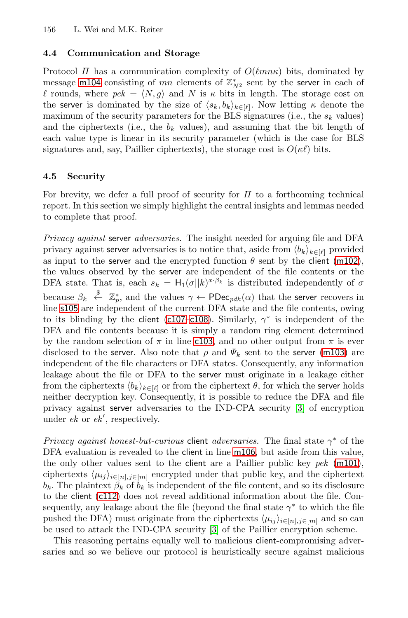### **4.4 Communication and Storage**

Protocol  $\Pi$  has a communication complexity of  $O(\ell mn\kappa)$  bits, dominated by message m104 consisting of mn elements of  $\mathbb{Z}_{N^2}^*$  sent by the server in each of counds where  $ne^k - \langle N, \rho \rangle$  and N is  $\kappa$  bits in length. The storage cost on *l* rounds, where  $pek = \langle N, g \rangle$  and N is  $\kappa$  bits in length. The storage cost on the server is dominated by the size of  $\langle s, h \rangle$ ,  $\kappa$ . Now letting  $\kappa$  denote the the server is dominated by the size of  $\langle s_k, b_k \rangle_{k \in [\ell]}$ . Now letting  $\kappa$  denote the maximum of the security parameters for the BLS signatures (i.e., the s. values) maximum of the security parameters for the BLS signatures (i.e., the  $s_k$  values) and the ciphertexts (i.e., the  $b_k$  values), and assuming that the bit length of each value type is linear in its security parameter (which is the case for BLS signatures and, say, Paillier ciphertexts), the storage cost is  $O(\kappa\ell)$  bits.

### **4.5 Security**

For brevity, we defer a full proof of security for  $\Pi$  to a forthcoming technical report. In this section we simply highlight the central insights and lemmas needed to complete that proof.

*Privacy agai[nst](#page-7-14)* server *[a](#page-7-24)dversaries.* The insight needed for arguing file and DFA privacy against ser[ver](#page-7-8) adversaries is to notice that, aside from  $\langle b_k \rangle_{k \in [l]}$  provided<br>as input to the server and the encrypted function  $\theta$  sent by the client (m102) as input to the server and the encrypted function  $\theta$  sent by the client (m102), the values observed by the server are independen[t](#page-7-25) [of](#page-7-25) [th](#page-7-25)e file contents or the DFA state. That is, each  $s_k = H_1(\sigma||k)^{x \cdot \beta_k}$  is distributed independently of  $\sigma$ because  $\beta_k \stackrel{\$}{\sim} \mathbb{Z}_p^*$ , and the values  $\gamma \leftarrow \text{PDec}_{pdk}(\alpha)$  that the server recovers in line s105 are independent of the current DFA state and the file contents, owing to its blinding by the client (c107–c108). S[im](#page-14-4)ilarly,  $\gamma^*$  is independent of the DFA and file contents because it is simply a random ring element determined by the random selection of  $\pi$  in line c103, and no other output from  $\pi$  is ever disclosed to the server. Also note that  $\rho$  and  $\Psi_k$  sent to the server (m103) are independent of the file chara[cters o](#page-7-5)r DFA states. Consequently, any information leakage about the file or DFA to the server must ori[ginate](#page-7-4) in a leakage either from the ciphertexts  $\langle b_k \rangle_{k \in [\ell]}$  or from the ciphertext  $\theta$ , for which the server holds<br>neither decryption key. Consequently, it is possible to reduce the DFA and file neither decryption key. Consequently, it is possible to reduce the DFA and file [p](#page-7-26)rivacy against server adversaries to the IND-CPA security [3] of encryption under *ek* or *ek* , respectively.

*Privacy against honest[-bu](#page-14-4)t-curious* client *adversaries.* The final state γ<sup>∗</sup> of the DFA evaluation is revealed to the client in line m106, but aside from this value, the only other values sent to the client are a Paillier public key *pek* (m101), ciphertexts  $\langle \mu_{ij} \rangle_{i \in [n], j \in [m]}$  encrypted under that public key, and the ciphertext<br>b. The plaintext  $\beta$ , of b, is independent of the file content, and so its disclosure  $b_k$ . The plaintext  $\beta_k$  of  $b_k$  is independent of the file content, and so its disclosure to the client (c112) does not reveal additional information about the file. Consequently, any leakage about the file (beyond the final state  $\gamma^*$  to which the file pushed the DFA) must originate from the ciphertexts  $\langle \mu_{ij} \rangle_{i \in [n], j \in [m]}$  and so can<br>be used to attack the IND-CPA security [3] of the Paillier encryption scheme be used to attack the IND-CPA security [3] of the Paillier encryption scheme.

This reasoning pertains equally well to malicious client-compromising adversaries and so we believe our protocol is heuristically secure against malicious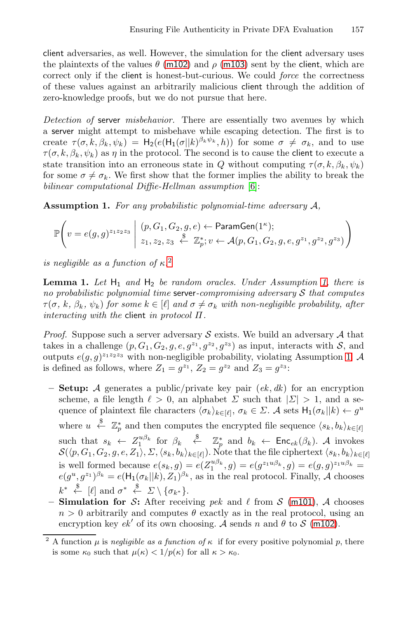client adversaries, as well. However, the simulation for the client adversary uses the plaintexts of the values  $\theta$  (m102) and  $\rho$  (m103) sent by the client, which are correct only if the client is honest-but-curious. We could *force* the correctness of these values against an arbitrarily malicious client through the addition of zero-knowledge proofs, but we d[o n](#page-14-5)ot pursue that here.

*Detection of* server *misbehavior.* There are essentially two avenues by which <sup>a</sup> server might attempt to misbehave while escaping detection. The first is to create  $\tau(\sigma, k, \beta_k, \psi_k) = H_2(e(H_1(\sigma||k)^{\beta_k \psi_k}, h))$  for some  $\sigma \neq \sigma_k$ , and to use  $\tau(\sigma, k, \beta_k, \psi_k)$  as  $\eta$  in the protocol. The second is to cause the client to execute a state transition into an erroneous state in Q without computing  $\tau(\sigma, k, \beta_k, \psi_k)$ for some  $\sigma \neq \sigma_k$ . We first show that the former implies the ability to break the *bilinear computational Diffie-Hellman assumption* [6]:

**Assumption 1.** *For any probabilistic polynomial-time adversary* A*,*

$$
\mathbb{P}\left(v = e(g,g)^{z_1 z_2 z_3} \mid (p,G_1,G_2,g,e) \leftarrow \text{ParamGen}(1^{\kappa}); z_1, z_2, z_3 \stackrel{\$}{\leftarrow} \mathbb{Z}_p^*; v \leftarrow \mathcal{A}(p,G_1,G_2,g,e,g^{z_1},g^{z_2},g^{z_3})\right)
$$

*is negligible as a function of* κ*.* 2

**Lemma 1.** Let  $H_1$  and  $H_2$  be random oracles. Under Assumption 1, there is *no probabilistic polynomial time* server*-compromising adversary* <sup>S</sup> *that computes*  $\tau(\sigma, k, \beta_k, \psi_k)$  for some  $k \in [\ell]$  and  $\sigma \neq \sigma_k$  with non-negligible probability, after *interacting with the* client *in protocol* Π*.*

*Proof.* Suppose such a server adversary  $S$  exists. We build an adversary  $A$  that takes in a challenge  $(p, G_1, G_2, g, e, g^{z_1}, g^{z_2}, g^{z_3})$  as input, interacts with  $\mathcal{S}$ , and outputs  $e(g, g)^{z_1 z_2 z_3}$  with non-negligible probability, violating Assumption 1. A is defined as follows, where  $Z_1 = g^{z_1}$ ,  $Z_2 = g^{z_2}$  and  $Z_3 = g^{z_3}$ :

- <span id="page-10-0"></span>**– Setup:** <sup>A</sup> generates a public/private key pair (*ek* , *dk*) for an encryption scheme, a file length  $\ell > 0$ , an alphabet  $\Sigma$  such that  $|\Sigma| > 1$ , and a sequence of plaintext file characters  $\langle \sigma_k \rangle_{k \in [\ell]}, \sigma_k \in \Sigma$ . A sets  $H_1(\sigma_k || k) \leftarrow g^u$ where  $u \leftarrow \mathbb{Z}_p^*$  and then computes the encrypted file sequence  $\langle s_k, b_k \rangle_{k \in [\ell]}$ such that  $s_k \leftarrow Z_1^{u\beta_k}$  for  $\beta_k \stackrel{\$}{\leftarrow} \mathbb{Z}_p^*$  an[d](#page-7-9)  $b_k \leftarrow \mathsf{Enc}_{ek}(\beta_k)$ . A invokes  $\mathcal{S}(\langle p, G_1, G_2, g, e, Z_1 \rangle, \Sigma, \langle s_k, b_k \rangle_{k \in [\ell]}).$  Note that the file ciphertext  $\langle s_k, b_k \rangle_{k \in [\ell]}$ is well formed because  $e(s_k, g) = e(Z_1^{u \beta_k}, g) = e(g^{z_1 u \beta_k}, g) = e(g, g)^{z_1 u \beta_k} =$ <br> $e(a^u, a^{z_1})^{\beta_k} = e(\mathsf{H}_e(\sigma, ||k) | Z_i)^{\beta_k}$  as in the real protocol Finally 4 chooses  $e(g^u, g^{z_1})^{\beta_k} = e(\mathsf{H}_1(\sigma_k || k), Z_1)^{\beta_k}$ , as in the real protocol. Finally, A chooses
- $k^* \stackrel{\$}{\leftarrow} [\ell]$  and  $\sigma^* \stackrel{\$}{\leftarrow} \Sigma \setminus {\sigma_{k^*}}.$ <br>
Simulation for S. After recei  $-$  **Simulation for** S: After receiving *pek* and  $\ell$  from S (m101), A chooses  $n > 0$  arbitrarily and computes  $\theta$  exactly as in the real protocol, using an encryption key  $ek'$  of its own choosing. A sends n and  $\theta$  to S (m102).

A function  $\mu$  is *negligible as a function of*  $\kappa$  if for every positive polynomial p, there is some  $\kappa_0$  such that  $\mu(\kappa) < 1/p(\kappa)$  for all  $\kappa > \kappa_0$ .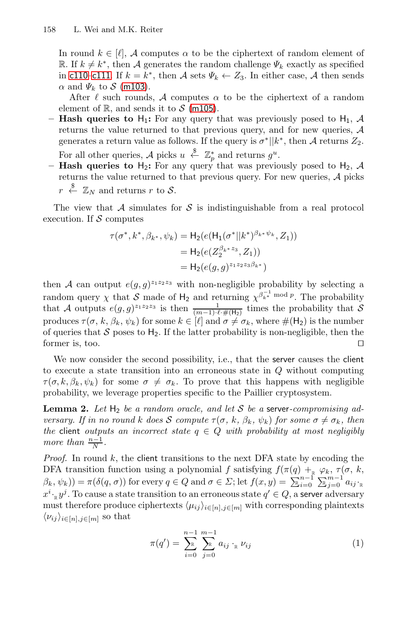In round  $k \in [\ell], \mathcal{A}$  computes  $\alpha$  to be the ciphertext of random element of R. If  $k \neq k^*$ , then A generates the random challenge  $\Psi_k$  exactly as specified in c110–c111. If  $k = k^*$ , then A sets  $\Psi_k \leftarrow Z_3$ . In either case, A then sends  $\alpha$  and  $\Psi_k$  to  $\mathcal S$  (m103).

After  $\ell$  such rounds, A computes  $\alpha$  to be the ciphertext of a random element of  $\mathbb{R}$ , and sends it to  $\mathcal{S}$  (m105).

- **Hash queries to**  $H_1$ **:** For any query that was previously posed to  $H_1$ , A returns the value returned to that previous query, and for new queries, A generates a return value as follows. If the query is  $\sigma^*||k^*$ , then A returns  $Z_2$ .
- For all other queries, A picks  $u \stackrel{\$}{\leftarrow} \mathbb{Z}_p^*$  and returns  $g^u$ .<br>**Hash queries to H**<sub>2</sub>: For any query that was previous
- **<b>Hash queries to**  $H_2$ : For any query that was previously posed to  $H_2$ ,  $A$  returns the value returned to that previous query. For new queries  $A$  picks returns the value returned to that previous query. For new queries, A picks  $\overset{\$}{\leftarrow} \mathbb{Z}_N$  and returns r to S.

The view that  $A$  simulates for  $S$  is indistinguishable from a real protocol execution. If  $S$  computes

$$
\tau(\sigma^*, k^*, \beta_{k^*}, \psi_k) = \mathsf{H}_2(e(\mathsf{H}_1(\sigma^*||k^*)^{\beta_{k^*}\psi_k}, Z_1))
$$
  
=  $\mathsf{H}_2(e(Z_2^{\beta_{k^*}z_3}, Z_1))$   
=  $\mathsf{H}_2(e(g, g)^{z_1z_2z_3\beta_{k^*}})$ 

then A can output  $e(g, g)^{z_1 z_2 z_3}$  with non-negligible probability by selecting a random query  $\chi$  that S made of H<sub>2</sub> and returning  $\chi^{\beta_{k^*}^{-1} \text{ mod } p}$ . The probability that S that A outputs  $e(g, g)^{z_1 z_2 z_3}$  is then  $-1$  imes the probability that S that A outputs  $e(g, g)^{z_1 z_2 z_3}$  is then  $\frac{1}{(m-1)\cdot \ell + \mu(z)}$  times the probability that S produces  $\tau(\sigma, k, \beta_k, \psi_k)$  for some  $k \in [\ell]$  and  $\sigma \neq \sigma_k$ , where  $\#(\mathsf{H}_2)$  is the number<br>of queries that S poses to  $\mathsf{H}_2$ . If the latter probability is non-negligible, then the of queries that  $S$  poses to  $H_2$ . If the latter probability is non-negligible, then the former is, too.  $\Box$ 

<span id="page-11-0"></span>We now consider the second possibility, i.e., that the server causes the client to execute a state transition into an erroneous state in Q without computing  $\tau(\sigma, k, \beta_k, \psi_k)$  for some  $\sigma \neq \sigma_k$ . To prove that this happens with negligible probability, we leverage properties specific to the Paillier cryptosystem.

**Lemma 2.** Let  $H_2$  be a random oracle, and let S be a server-compromising ad*versary. If in no round* k *does* S *compute*  $\tau(\sigma, k, \beta_k, \psi_k)$  *for some*  $\sigma \neq \sigma_k$ *, then the* client *outputs an incorrect state*  $q \in Q$  *with probability at most negligibly more than*  $\frac{n-1}{N}$ .

*Proof.* In round k, the client transitions to the next DFA state by encoding the DFA transition function using a polynomial f satisfying  $f(\pi(q) +_R \varphi_k, \tau(\sigma, k,$ <br> $\beta_{k-2}(k, k)) = \pi(\delta(\sigma, \sigma))$  for every  $\sigma \in O$  and  $\sigma \in \Sigma$ ; let  $f(\sigma, \psi) = \sum_{k=1}^{n-1} \sum_{k=1}^{m-k} \sigma_k$ .  $(\beta_k, \psi_k)$  =  $\pi(\delta(q, \sigma))$  for every  $q \in Q$  and  $\sigma \in \Sigma$ ; let  $f(x, y) = \sum_{k=0}^{n-1} \sum_{j=0}^{m-1} a_{ij}$ ;  $x^{i} \cdot_{\mathbb{R}} y^{j}$ . To cause a state transition to an erroneous state  $q' \in Q$ , a server adversary must therefore produce ciphertexts  $\langle \mu_{ij} \rangle_{i \in [n], j \in [m]}$  with corresponding plaintexts  $\langle \mu_{ij} \rangle_{i \in [n], j \in [m]}$  $\langle \nu_{ij} \rangle_{i \in [n], j \in [m]}$  so that

$$
\pi(q') = \sum_{i=0}^{n-1} \sum_{j=0}^{m-1} a_{ij} \cdot_{\mathbb{R}} \nu_{ij}
$$
 (1)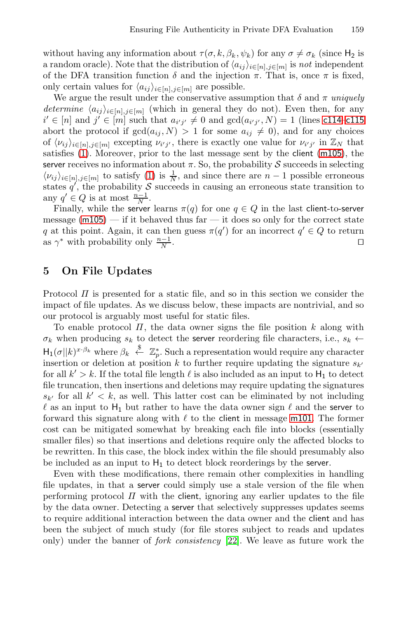without having any information about  $\tau(\sigma, k, \beta_k, \psi_k)$  for any  $\sigma \neq \sigma_k$  (since  $H_2$  is a random oracle). Note that the distribution of  $\langle a_{ij} \rangle_{i \in [n], j \in [m]}$  is *not* independent<br>of the DFA transition function  $\delta$  and the injection  $\pi$ . That is once  $\pi$  is fixed of the DFA transition function  $\delta$  and the injection  $\pi$ . That is, once  $\pi$  is fixed, only certain values for  $\langle a_{\perp} \rangle$ ,  $\epsilon_{\perp}$ , are possible only ce[rta](#page-11-0)in values for  $\langle a_{ij} \rangle_{i \in [n], j \in [m]}$  are possible.<br>We argue the result under the conservative assumed

<span id="page-12-0"></span>We argue the result under the conservative assumption that  $\delta$  and  $\pi$  *uniquely determine*  $\langle a_{ij} \rangle_{i \in [n], j \in [m]}$  (which in general they do not). Even then, for any  $i' \in [n]$  and  $i' \in [m]$  such that  $a_{i'j} \neq 0$  and  $\text{gcd}(a_{i'j'} \mid N) = 1$  (lines c114–c115) abort the protocol if  $gcd(a_{ij}, N) > 1$  for some  $a_{ij} \neq 0$ , and for any choices<br>of  $(u_i)_{i \in I}$  is a excepting  $u_{i,i}$ , there is exactly one value for  $u_{i,i}$  in  $\mathbb{Z}_N$  that  $\mathcal{U} \in [n]$  and  $\mathcal{U} \in [m]$  such that  $a_{i'j'} \neq 0$  and  $gcd(a_{i'j'}, N) = 1$  (lines c114–c115)<br>bort the protocol if  $gcd(a_{i'} N) > 1$  for some  $a_{i'} \neq 0$  and for any choices of  $\langle v_{ij} \rangle_{i \in [n], j \in [m]}$  excepting  $v_{i'j'}$ , there is exactly one value for  $v_{i'j'}$  in  $\mathbb{Z}_N$  that estimates (1) Moreover prior to the last message sent by the client (m105) the satisfies (1). Moreover, prior to the last message sent by the client (m105), the server receives no information about  $\pi$ . So, the probability S succeeds in selecting  $\langle v_{ij} \rangle_{i \in [n], j \in [m]}$  to satisfy (1) is  $\frac{1}{N}$ , and since there are  $n-1$  possible erroneous states  $a'$  the probability S succeeds in causing an erroneous state transition to states q', the probability S succeeds in causing an erroneous state transition to  $\text{env } q' \in O$  is at most  $\frac{n-1}{n-1}$ any  $q' \in Q$  is at most  $\frac{n-1}{N}$ .<br>Finally while the server

Finally, while the server learns  $\pi(q)$  for one  $q \in Q$  in the last client-to-server message  $(m105)$  — if it behaved thus far — it does so only for the correct state q at this point. Again, it can then guess  $\pi(q')$  for an incorrect  $q' \in Q$  to return<br>as  $\alpha^*$  with probability only  $\frac{n-1}{q}$ as  $\gamma^*$  with probability only  $\frac{n-1}{N}$ .  $\frac{1}{N}$ .  $\Box$ 

# **5 On File Updates**

Protocol  $\Pi$  is presented for a static file, and so in this section we consider the impact of file updates. As we discuss below, these impacts are nontrivial, and so our protocol is arguably most useful for static files.

To enable protocol  $\Pi$ , the data owner signs the file position k along with  $\sigma_k$  when producing  $s_k$  to detect the server [reorde](#page-7-4)ring file characters, i.e.,  $s_k \leftarrow$  $H_1(\sigma||k)^{x \cdot \beta_k}$  where  $\beta_k \stackrel{\$}{\sim} \mathbb{Z}_p^*$ . Such a representation would require any character<br>insertion or deletion at position k to further require underline the signature sum insertion or deletion at position k to further require updating the signature  $s_{k'}$ <br>for all  $k' > k$ . If the total file length  $\ell$  is also included as an input to H, to detect for all  $k' > k$ . If the total file length  $\ell$  is also included as an input to  $H_1$  to detect file truncation, then insertions and deletions may require updating the signatures  $\ell$  as an input to  $H_1$  but rather to have the data owner sign  $\ell$  and the server to forward this signature along with  $\ell$  to the client in message m101. The former  $s_{k'}$  for all  $k' < k$ , as well. This latter cost can be eliminated by not including forward this signature along with  $\ell$  to the client in message m101. The former cost can be mitigated somewhat by breaking each file into blocks (essentially smaller files) so that insertions and deletions require only the affected blocks to be rewritten. In this case, t[he b](#page-15-7)lock index within the file should presumably also be included as an input to  $H_1$  to detect block reorderings by the server.

Even with these modifications, there remain other complexities in handling file updates, in that a server could simply use a stale version of the file when performing protocol  $\Pi$  with the client, ignoring any earlier updates to the file by the data owner. Detecting a server that selectively suppresses updates seems to require additional interaction between the data owner and the client and has been the subject of much study (for file stores subject to reads and updates only) under the banner of *fork consistency* [22]. We leave as future work the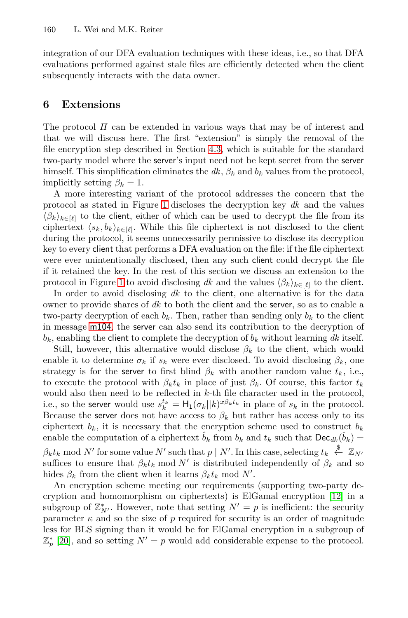<span id="page-13-0"></span>integration of our DFA evaluation techniques with these ideas, i.e., so that DFA evaluations performed [aga](#page-8-0)inst stale files are efficiently detected when the client subsequently interacts with the data owner.

# **6 Extensions**

The protoc[ol](#page-7-22)  $\Pi$  can be extended in various ways that may be of interest and that we will discuss here. The first "extension" is simply the removal of the file encryption step described in Section 4.3, which is suitable for the standard two-party model where the server's input need not be kept secret from the server himself. This simplification eliminates the  $dk$ ,  $\beta_k$  and  $b_k$  values from the protocol, implicitly setting  $\beta_k = 1$ .

A more interesting variant of the protocol addresses the concern that the [pro](#page-7-22)tocol as stated in Figure 1 discloses the decryption key *dk* and the values  $\langle \beta_k \rangle_{k \in [\ell]}$  to the client, either of which can be used to decrypt the file from its<br>cinhertext  $\langle s, h \rangle_{k \in [\ell]}$ . While this file cinhertext is not disclosed to the client ciphertext  $\langle s_k, b_k \rangle_{k \in [\ell]}$ . While this file ciphertext is not disclosed to the client during the protocol it seems unpecessarily permissive to disclose its decryption during the protocol, it seems unnecessarily permissive to disclose its decryption key to every client that performs a DFA evaluation on the file: if the file ciphertext were ever unintentionally disclosed, then any such client could decrypt the file if it retained the key. In the rest of this section we discuss an extension to the protocol in Figure 1 to avoid disclosing *dk* and the values  $\langle \beta_k \rangle_{k \in [\ell]}$  to the client.<br>In order to avoid disclosing *dk* to the client, one alternative is for the data

In order to avoid disclosing *dk* to the **client**, one alternative is for the data owner to provide shares of *dk* to both the client and the server, so as to enable a two-party decryption of each  $b_k$ . Then, rather than sending only  $b_k$  to the client in message m104, the server can also send its contribution to the decryption of  $b_k$ , enabling the client to complete the decryption of  $b_k$  without learning dk itself.

Still, however, this alternative would disclose  $\beta_k$  to the client, which would enable it to determine  $\sigma_k$  if  $s_k$  were ever disclosed. To avoid disclosing  $\beta_k$ , one strategy is for the server to first blind  $\beta_k$  with another random value  $t_k$ , i.e., to execute the protocol with  $\beta_k t_k$  in place of just  $\beta_k$ . Of course, this factor  $t_k$ would also then need to be reflected in k-th file character used in the protocol, i.e., so the server would use  $s_k^{t_k} = H_1(\sigma_k || k)^{x\beta_k t_k}$  in place of  $s_k$  in the protocol.<br>Because the server does not have access to  $\beta_k$  but rather has access only to its Because [the](#page-15-8) server does not have access to  $\beta_k$  but rather has access only to its ciphertext  $b_k$ , it is necessary that the encryption scheme used to construct  $b_k$ enable the computation of a ciphertext  $\hat{b}_k$  from  $b_k$  and  $t_k$  such that  $\text{Dec}_{dk}(\hat{b}_k)$  =  $\beta_k t_k$  mod N' for some value N' such that  $p \mid N'$ . In this case, selecting  $t_k \stackrel{\$}{\sim} \mathbb{Z}_{N'}$ <br>suffices to ensure that  $\beta_i t$ , mod N' is distributed independently of  $\beta_i$ , and so suffices to ensure that  $\beta_k t_k \mod N'$  is distributed independently of  $\beta_k$  and so

hides  $\beta_k$  from the client when it learns  $\beta_k t_k$  mod N'.<br>An encryption scheme meeting our requirements An encryption scheme meeting our requirements (supporting two-party decryption and homomorphism on ciphertexts) is ElGamal encryption [12] in a subgroup of  $\mathbb{Z}_{N'}^*$ . However, note that setting  $N' = p$  is inefficient: the security<br>parameter  $\kappa$  and so the size of *n* required for security is an order of magnitude parameter  $\kappa$  and so the size of p required for security is an order of magnitude<br>less for BLS signing than it would be for ElGamal encryption in a subgroup of less for BLS signing than it would be for ElGamal encryption in a subgroup of  $\mathbb{Z}_p^*$  [20], and so setting  $N' = p$  would add considerable expense to the protocol.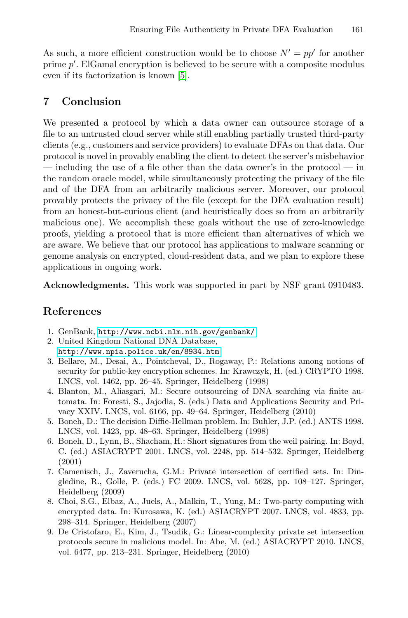As such, a more efficient construction would be to choose  $N' = pp'$  for another prime  $p'$ . ElGamal encryption is believed to be secure with a composite modulus even if its factorization is known [5] even if its factorization is known [5].

# **7 Conclusion**

<span id="page-14-4"></span>We presented a protocol by which a data owner can outsource storage of a file to an untrusted cloud server while still enabling partially trusted third-party clients (e.g., customers and service providers) to evaluate DFAs on that data. Our protocol is novel in provably enabling the client to detect the server's misbehavior — including the use of a file other than the data owner's in the protocol — in the random oracle model, while simultaneously protecting the privacy of the file and of the DFA from an arbitrarily malicious server. Moreover, our protocol provably protects the privacy of the file (except for the DFA evaluation result) from an honest-but-curious client (and heuristically does so from an arbitrarily malicious one). We accomplish these goals without the use of zero-knowledge proofs, yielding a protocol that is more efficient than alternatives of which we [are aware. We believe that our prot](http://www.ncbi.nlm.nih.gov/genbank/)ocol has applications to malware scanning or genome analysis on encrypted, cloud-resident data, and we plan to explore these [applications in ongoing wo](http://www.npia.police.uk/en/8934.htm)rk.

<span id="page-14-5"></span><span id="page-14-0"></span>**Acknowledgments.** This work was supported in part by NSF grant 0910483.

# <span id="page-14-1"></span>**References**

- <span id="page-14-3"></span>1. GenBank, http://www.ncbi.nlm.nih.gov/genbank/
- 2. United Kingdom National DNA Database, http://www.npia.police.uk/en/8934.htm
- <span id="page-14-2"></span>3. Bellare, M., Desai, A., Pointcheval, D., Rogaway, P.: Relations among notions of security for public-key encryption schemes. In: Krawczyk, H. (ed.) CRYPTO 1998. LNCS, vol. 1462, pp. 26–45. Springer, Heidelberg (1998)
- 4. Blanton, M., Aliasgari, M.: Secure outsourcing of DNA searching via finite automata. In: Foresti, S., Jajodia, S. (eds.) Data and Applications Security and Privacy XXIV. LNCS, vol. 6166, pp. 49–64. Springer, Heidelberg (2010)
- 5. Boneh, D.: The decision Diffie-Hellman problem. In: Buhler, J.P. (ed.) ANTS 1998. LNCS, vol. 1423, pp. 48–63. Springer, Heidelberg (1998)
- 6. Boneh, D., Lynn, B., Shacham, H.: Short signatures from the weil pairing. In: Boyd, C. (ed.) ASIACRYPT 2001. LNCS, vol. 2248, pp. 514–532. Springer, Heidelberg (2001)
- 7. Camenisch, J., Zaverucha, G.M.: Private intersection of certified sets. In: Dingledine, R., Golle, P. (eds.) FC 2009. LNCS, vol. 5628, pp. 108–127. Springer, Heidelberg (2009)
- 8. Choi, S.G., Elbaz, A., Juels, A., Malkin, T., Yung, M.: Two-party computing with encrypted data. In: Kurosawa, K. (ed.) ASIACRYPT 2007. LNCS, vol. 4833, pp. 298–314. Springer, Heidelberg (2007)
- 9. De Cristofaro, E., Kim, J., Tsudik, G.: Linear-complexity private set intersection protocols secure in malicious model. In: Abe, M. (ed.) ASIACRYPT 2010. LNCS, vol. 6477, pp. 213–231. Springer, Heidelberg (2010)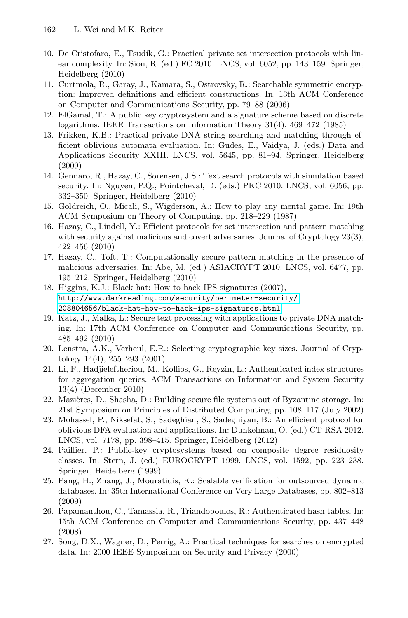- <span id="page-15-8"></span><span id="page-15-5"></span><span id="page-15-2"></span><span id="page-15-1"></span>10. De Cristofaro, E., Tsudik, G.: Practical private set intersection protocols with linear complexity. In: Sion, R. (ed.) FC 2010. LNCS, vol. 6052, pp. 143–159. Springer, Heidelberg (2010)
- <span id="page-15-3"></span>11. Curtmola, R., Garay, J., Kamara, S., Ostrovsky, R.: Searchable symmetric encryption: Improved definitions and efficient constructions. In: 13th ACM Conference on Computer and Communications Security, pp. 79–88 (2006)
- 12. ElGamal, T.: A public key cryptosystem and a signature scheme based on discrete logarithms. IEEE Transactions on Information Theory 31(4), 469–472 (1985)
- <span id="page-15-4"></span>13. Frikken, K.B.: Practical private DNA string searching and matching through efficient oblivious automata evaluation. In: Gudes, E., Vaidya, J. (eds.) Data and Applications Security XXIII. LNCS, vol. 5645, pp. 81–94. Springer, Heidelberg (2009)
- 14. Gennaro, R., Hazay, C., Sorensen, J.S.: Text search protocols with simulation based security. In: Nguyen, P.Q., Pointcheval, D. (eds.) PKC 2010. LNCS, vol. 6056, pp. 332–350. Springer, Heidelberg (2010)
- 15. Goldreich, O., Micali, S., Wigderson, A.: How to play any mental game. In: 19th [ACM Symposium on Theory of Computing, p](http://www.darkreading.com/security/perimeter-security/208804656/black-hat-how-to-hack-ips-signatures.html)p. 218–229 (1987)
- <span id="page-15-7"></span>[16. Hazay, C., Lindell, Y.: Efficient protocols](http://www.darkreading.com/security/perimeter-security/208804656/black-hat-how-to-hack-ips-signatures.html) for set intersection and pattern matching with security against malicious and covert adversaries. Journal of Cryptology 23(3), 422–456 (2010)
- 17. Hazay, C., Toft, T.: Computationally secure pattern matching in the presence of malicious adversaries. In: Abe, M. (ed.) ASIACRYPT 2010. LNCS, vol. 6477, pp. 195–212. Springer, Heidelberg (2010)
- <span id="page-15-6"></span>18. Higgins, K.J.: Black hat: How to hack IPS signatures (2007), http://www.darkreading.com/security/perimeter-security/ 208804656/black-hat-how-to-hack-ips-signatures.html
- 19. Katz, J., Malka, L.: Secure text processing with applications to private DNA matching. In: 17th ACM Conference on Computer and Communications Security, pp. 485–492 (2010)
- 20. Lenstra, A.K., Verheul, E.R.: Selecting cryptographic key sizes. Journal of Cryptology 14(4), 255–293 (2001)
- <span id="page-15-0"></span>21. Li, F., Hadjieleftheriou, M., Kollios, G., Reyzin, L.: Authenticated index structures for aggregation queries. ACM Transactions on Information and System Security 13(4) (December 2010)
- 22. Mazières, D., Shasha, D.: Building secure file systems out of Byzantine storage. In: 21st Symposium on Principles of Distributed Computing, pp. 108–117 (July 2002)
- 23. Mohassel, P., Niksefat, S., Sadeghian, S., Sadeghiyan, B.: An efficient protocol for oblivious DFA evaluation and applications. In: Dunkelman, O. (ed.) CT-RSA 2012. LNCS, vol. 7178, pp. 398–415. Springer, Heidelberg (2012)
- 24. Paillier, P.: Public-key cryptosystems based on composite degree residuosity classes. In: Stern, J. (ed.) EUROCRYPT 1999. LNCS, vol. 1592, pp. 223–238. Springer, Heidelberg (1999)
- 25. Pang, H., Zhang, J., Mouratidis, K.: Scalable verification for outsourced dynamic databases. In: 35th International Conference on Very Large Databases, pp. 802–813 (2009)
- 26. Papamanthou, C., Tamassia, R., Triandopoulos, R.: Authenticated hash tables. In: 15th ACM Conference on Computer and Communications Security, pp. 437–448 (2008)
- 27. Song, D.X., Wagner, D., Perrig, A.: Practical techniques for searches on encrypted data. In: 2000 IEEE Symposium on Security and Privacy (2000)